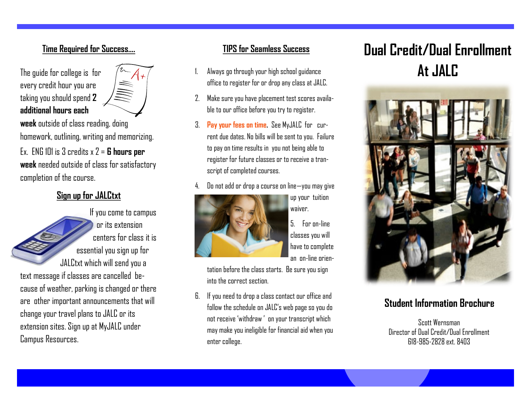#### **Time Required for Success….**

The guide for college is for every credit hour you are taking you should spend **2 additional hours each** 



**week** outside of class reading, doing homework, outlining, writing and memorizing. Ex. ENG 101 is 3 credits x 2 = **6 hours per week** needed outside of class for satisfactory completion of the course.

### **Sign up for JALCtxt**

If you come to campus or its extension centers for class it is essential you sign up for JALCtxt which will send you a text message if classes are cancelled because of weather, parking is changed or there are other important announcements that will change your travel plans to JALC or its extension sites. Sign up at MyJALC under Campus Resources.

### **TIPS for Seamless Success**

- 1. Always go through your high school guidance office to register for or drop any class at JALC.
- 2. Make sure you have placement test scores available to our office before you try to register.
- 3. **Pay your fees on time.** See MyJALC for current due dates. No bills will be sent to you. Failure to pay on time results in you not being able to register for future classes or to receive a transcript of completed courses.
- 4. Do not add or drop a course on line—you may give



5. For on-line classes you will have to complete an on-line orien-

up your tuition

waiver.

tation before the class starts. Be sure you sign into the correct section.

6. If you need to drop a class contact our office and follow the schedule on JALC's web page so you do not receive 'withdraw ' on your transcript which may make you ineligible for financial aid when you enter college.

# **Dual Credit/Dual Enrollment At JALC**



### **Student Information Brochure**

Scott Wernsman Director of Dual Credit/Dual Enrollment 618-985-2828 ext. 8403